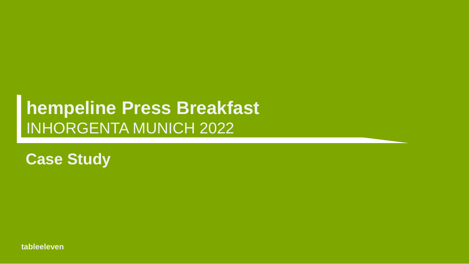# **hempeline Press Breakfast** INHORGENTA MUNICH 2022

**Case Study**

**tableeleven**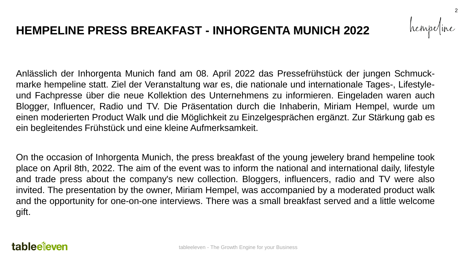hempe

2

Anlässlich der Inhorgenta Munich fand am 08. April 2022 das Pressefrühstück der jungen Schmuckmarke hempeline statt. Ziel der Veranstaltung war es, die nationale und internationale Tages-, Lifestyleund Fachpresse über die neue Kollektion des Unternehmens zu informieren. Eingeladen waren auch Blogger, Influencer, Radio und TV. Die Präsentation durch die Inhaberin, Miriam Hempel, wurde um einen moderierten Product Walk und die Möglichkeit zu Einzelgesprächen ergänzt. Zur Stärkung gab es ein begleitendes Frühstück und eine kleine Aufmerksamkeit.

On the occasion of Inhorgenta Munich, the press breakfast of the young jewelery brand hempeline took place on April 8th, 2022. The aim of the event was to inform the national and international daily, lifestyle and trade press about the company's new collection. Bloggers, influencers, radio and TV were also invited. The presentation by the owner, Miriam Hempel, was accompanied by a moderated product walk and the opportunity for one-on-one interviews. There was a small breakfast served and a little welcome gift.

## tableejeven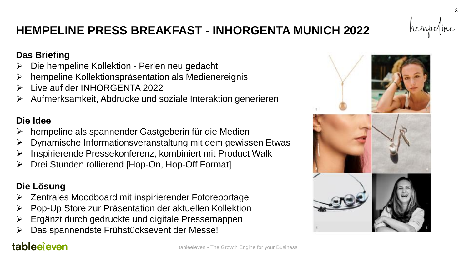### **Das Briefing**

- ➢ Die hempeline Kollektion Perlen neu gedacht
- ➢ hempeline Kollektionspräsentation als Medienereignis
- ➢ Live auf der INHORGENTA 2022
- ➢ Aufmerksamkeit, Abdrucke und soziale Interaktion generieren

## **Die Idee**

- hempeline als spannender Gastgeberin für die Medien
- ➢ Dynamische Informationsveranstaltung mit dem gewissen Etwas
- ➢ Inspirierende Pressekonferenz, kombiniert mit Product Walk
- Drei Stunden rollierend [Hop-On, Hop-Off Format]

## **Die Lösung**

- ➢ Zentrales Moodboard mit inspirierender Fotoreportage
- ➢ Pop-Up Store zur Präsentation der aktuellen Kollektion
- ➢ Ergänzt durch gedruckte und digitale Pressemappen
- ➢ Das spannendste Frühstücksevent der Messe!

# tableeieven



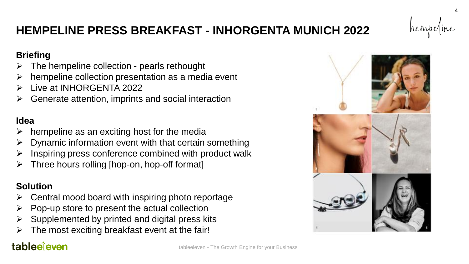

### **Briefing**

- ➢ The hempeline collection pearls rethought
- hempeline collection presentation as a media event
- ➢ Live at INHORGENTA 2022
- ➢ Generate attention, imprints and social interaction

## **Idea**

- hempeline as an exciting host for the media
- ➢ Dynamic information event with that certain something
- $\triangleright$  Inspiring press conference combined with product walk
- ➢ Three hours rolling [hop-on, hop-off format]

## **Solution**

- ➢ Central mood board with inspiring photo reportage
- $\triangleright$  Pop-up store to present the actual collection
- Supplemented by printed and digital press kits
- $\triangleright$  The most exciting breakfast event at the fair!

# tableeieven

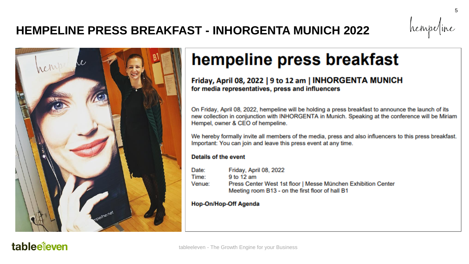

# hempeline press breakfast

### Friday, April 08, 2022 | 9 to 12 am | INHORGENTA MUNICH for media representatives, press and influencers

On Friday, April 08, 2022, hempeline will be holding a press breakfast to announce the launch of its new collection in conjunction with INHORGENTA in Munich. Speaking at the conference will be Miriam Hempel, owner & CEO of hempeline.

We hereby formally invite all members of the media, press and also influencers to this press breakfast. Important: You can join and leave this press event at any time.

#### **Details of the event**

Date: Friday, April 08, 2022 9 to 12 am Time: Press Center West 1st floor | Messe München Exhibition Center Venue: Meeting room B13 - on the first floor of hall B1

#### **Hop-On/Hop-Off Agenda**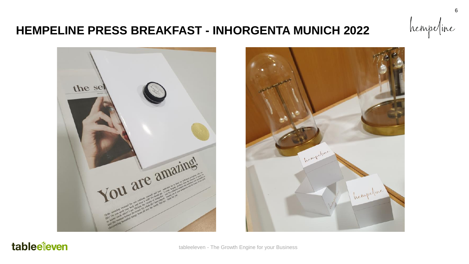



## tableeleven

tableeleven - The Growth Engine for your Business

hempe/ine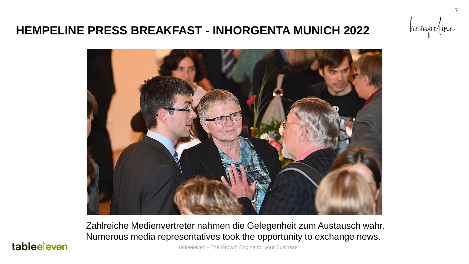

Zahlreiche Medienvertreter nahmen die Gelegenheit zum Austausch wahr. Numerous media representatives took the opportunity to exchange news.

tableeleven - The Growth Engine for your Business

## tableeleven

hempe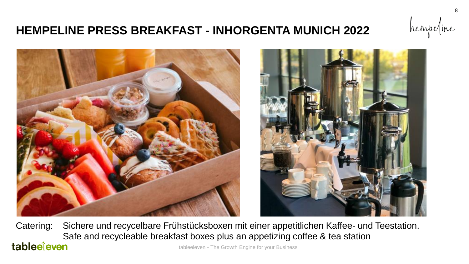

tableeleven - The Growth Engine for your Business Catering: Sichere und recycelbare Frühstücksboxen mit einer appetitlichen Kaffee- und Teestation. Safe and recycleable breakfast boxes plus an appetizing coffee & tea station tableeleven

hempe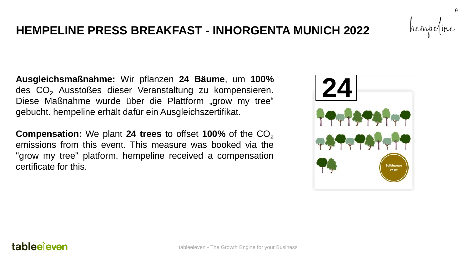## tableeleven

## **HEMPELINE PRESS BREAKFAST - INHORGENTA MUNICH 2022**

**Ausgleichsmaßnahme:** Wir pflanzen **24 Bäume**, um **100%** des CO<sub>2</sub> Ausstoßes dieser Veranstaltung zu kompensieren. Diese Maßnahme wurde über die Plattform "grow my tree" gebucht. hempeline erhält dafür ein Ausgleichszertifikat.

**Compensation:** We plant **24 trees** to offset **100%** of the CO<sub>2</sub> emissions from this event. This measure was booked via the "grow my tree" platform. hempeline received a compensation certificate for this.